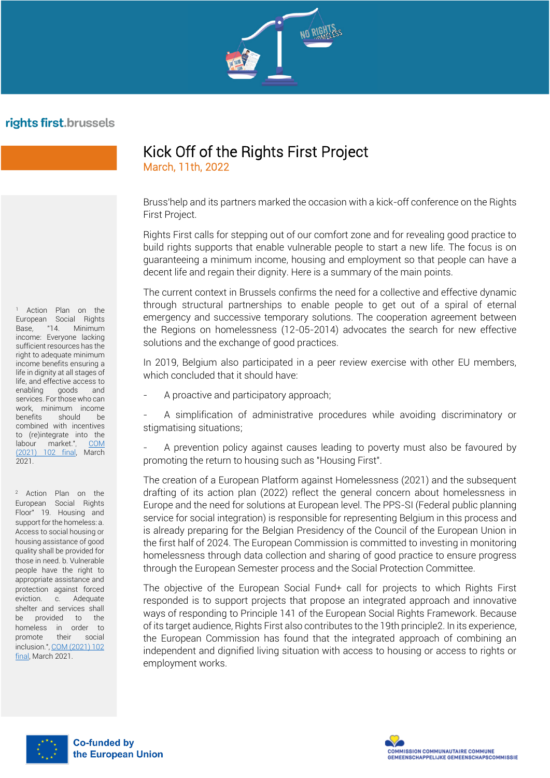

## rights first.brussels

<sup>1</sup> Action Plan on the European Social Rights Base, "14. Minimum income: Everyone lacking sufficient resources has the right to adequate minimum income benefits ensuring a life in dignity at all stages of life, and effective access to enabling goods and services. For those who can work, minimum income benefits should be combined with incentives to (re)integrate into the labour market.", COM<br>(2021) 102 final March 102 final, March 2021.

<sup>2</sup> Action Plan on the European Social Rights Floor" 19. Housing and support for the homeless: a. Access to social housing or housing assistance of good quality shall be provided for those in need. b. Vulnerable people have the right to appropriate assistance and protection against forced eviction. c. Adequate shelter and services shall be provided to the homeless in order to promote their social inclusion."[, COM \(2021\) 102](https://eur-lex.europa.eu/legal-content/FR/TXT/?uri=COM%3A2021%3A102%3AFIN&qid=1614928358298)  [final,](https://eur-lex.europa.eu/legal-content/FR/TXT/?uri=COM%3A2021%3A102%3AFIN&qid=1614928358298) March 2021.

## Kick Off of the Rights First Project March, 11th, 2022

Bruss'help and its partners marked the occasion with a kick-off conference on the Rights First Project.

Rights First calls for stepping out of our comfort zone and for revealing good practice to build rights supports that enable vulnerable people to start a new life. The focus is on guaranteeing a minimum income, housing and employment so that people can have a decent life and regain their dignity. Here is a summary of the main points.

The current context in Brussels confirms the need for a collective and effective dynamic through structural partnerships to enable people to get out of a spiral of eternal emergency and successive temporary solutions. The cooperation agreement between the Regions on homelessness (12-05-2014) advocates the search for new effective solutions and the exchange of good practices.

In 2019, Belgium also participated in a peer review exercise with other EU members, which concluded that it should have:

A proactive and participatory approach;

A simplification of administrative procedures while avoiding discriminatory or stigmatising situations;

- A prevention policy against causes leading to poverty must also be favoured by promoting the return to housing such as "Housing First".

The creation of a European Platform against Homelessness (2021) and the subsequent drafting of its action plan (2022) reflect the general concern about homelessness in Europe and the need for solutions at European level. The PPS-SI (Federal public planning service for social integration) is responsible for representing Belgium in this process and is already preparing for the Belgian Presidency of the Council of the European Union in the first half of 2024. The European Commission is committed to investing in monitoring homelessness through data collection and sharing of good practice to ensure progress through the European Semester process and the Social Protection Committee.

The objective of the European Social Fund+ call for projects to which Rights First responded is to support projects that propose an integrated approach and innovative ways of responding to Principle 141 of the European Social Rights Framework. Because of its target audience, Rights First also contributes to the 19th principle2. In its experience, the European Commission has found that the integrated approach of combining an independent and dignified living situation with access to housing or access to rights or employment works.